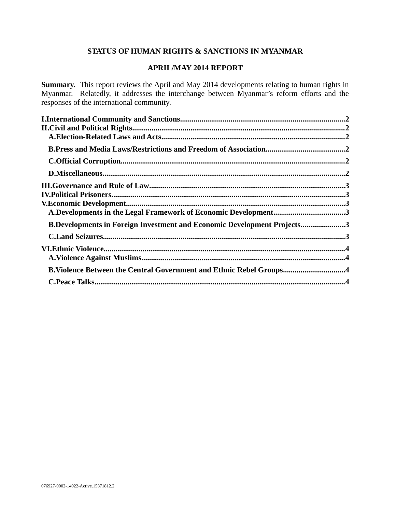# **STATUS OF HUMAN RIGHTS & SANCTIONS IN MYANMAR**

# **APRIL/MAY 2014 REPORT**

**Summary.** This report reviews the April and May 2014 developments relating to human rights in Myanmar. Relatedly, it addresses the interchange between Myanmar's reform efforts and the responses of the international community.

| A.Developments in the Legal Framework of Economic Development3                 |  |
|--------------------------------------------------------------------------------|--|
| <b>B.Developments in Foreign Investment and Economic Development Projects3</b> |  |
|                                                                                |  |
|                                                                                |  |
|                                                                                |  |
| B.Violence Between the Central Government and Ethnic Rebel Groups4             |  |
|                                                                                |  |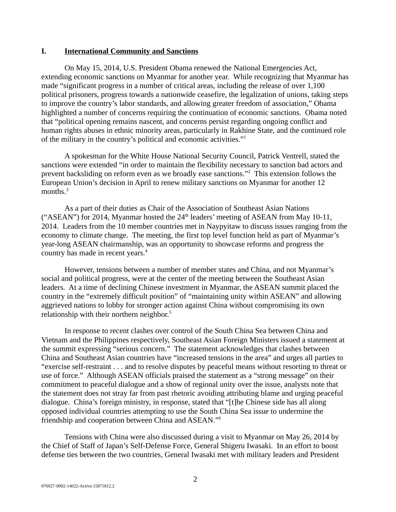## <span id="page-1-0"></span>**I. International Community and Sanctions**

On May 15, 2014, U.S. President Obama renewed the National Emergencies Act, extending economic sanctions on Myanmar for another year. While recognizing that Myanmar has made "significant progress in a number of critical areas, including the release of over 1,100 political prisoners, progress towards a nationwide ceasefire, the legalization of unions, taking steps to improve the country's labor standards, and allowing greater freedom of association," Obama highlighted a number of concerns requiring the continuation of economic sanctions. Obama noted that "political opening remains nascent, and concerns persist regarding ongoing conflict and human rights abuses in ethnic minority areas, particularly in Rakhine State, and the continued role of the military in the country's political and economic activities."<sup>1</sup>

A spokesman for the White House National Security Council, Patrick Ventrell, stated the sanctions were extended "in order to maintain the flexibility necessary to sanction bad actors and prevent backsliding on reform even as we broadly ease sanctions."<sup>2</sup> This extension follows the European Union's decision in April to renew military sanctions on Myanmar for another 12 months.<sup>3</sup>

As a part of their duties as Chair of the Association of Southeast Asian Nations ("ASEAN") for 2014, Myanmar hosted the  $24<sup>th</sup>$  leaders' meeting of ASEAN from May 10-11, 2014. Leaders from the 10 member countries met in Naypyitaw to discuss issues ranging from the economy to climate change. The meeting, the first top level function held as part of Myanmar's year-long ASEAN chairmanship, was an opportunity to showcase reforms and progress the country has made in recent years.<sup>4</sup>

However, tensions between a number of member states and China, and not Myanmar's social and political progress, were at the center of the meeting between the Southeast Asian leaders. At a time of declining Chinese investment in Myanmar, the ASEAN summit placed the country in the "extremely difficult position" of "maintaining unity within ASEAN" and allowing aggrieved nations to lobby for stronger action against China without compromising its own relationship with their northern neighbor.<sup>5</sup>

In response to recent clashes over control of the South China Sea between China and Vietnam and the Philippines respectively, Southeast Asian Foreign Ministers issued a statement at the summit expressing "serious concern." The statement acknowledges that clashes between China and Southeast Asian countries have "increased tensions in the area" and urges all parties to "exercise self-restraint . . . and to resolve disputes by peaceful means without resorting to threat or use of force." Although ASEAN officials praised the statement as a "strong message" on their commitment to peaceful dialogue and a show of regional unity over the issue, analysts note that the statement does not stray far from past rhetoric avoiding attributing blame and urging peaceful dialogue. China's foreign ministry, in response, stated that "[t]he Chinese side has all along opposed individual countries attempting to use the South China Sea issue to undermine the friendship and cooperation between China and ASEAN."<sup>6</sup>

Tensions with China were also discussed during a visit to Myanmar on May 26, 2014 by the Chief of Staff of Japan's Self-Defense Force, General Shigeru Iwasaki. In an effort to boost defense ties between the two countries, General Iwasaki met with military leaders and President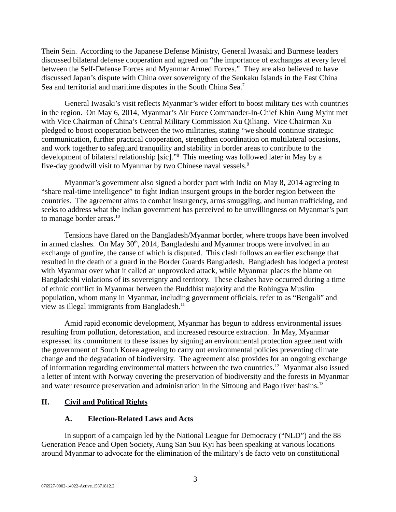Thein Sein. According to the Japanese Defense Ministry, General Iwasaki and Burmese leaders discussed bilateral defense cooperation and agreed on "the importance of exchanges at every level between the Self-Defense Forces and Myanmar Armed Forces." They are also believed to have discussed Japan's dispute with China over sovereignty of the Senkaku Islands in the East China Sea and territorial and maritime disputes in the South China Sea.<sup>7</sup>

General Iwasaki's visit reflects Myanmar's wider effort to boost military ties with countries in the region. On May 6, 2014, Myanmar's Air Force Commander-In-Chief Khin Aung Myint met with Vice Chairman of China's Central Military Commission Xu Qiliang. Vice Chairman Xu pledged to boost cooperation between the two militaries, stating "we should continue strategic communication, further practical cooperation, strengthen coordination on multilateral occasions, and work together to safeguard tranquility and stability in border areas to contribute to the development of bilateral relationship [sic]."<sup>8</sup> This meeting was followed later in May by a five-day goodwill visit to Myanmar by two Chinese naval vessels.<sup>9</sup>

Myanmar's government also signed a border pact with India on May 8, 2014 agreeing to "share real-time intelligence" to fight Indian insurgent groups in the border region between the countries. The agreement aims to combat insurgency, arms smuggling, and human trafficking, and seeks to address what the Indian government has perceived to be unwillingness on Myanmar's part to manage border areas. $^{10}$ 

Tensions have flared on the Bangladesh/Myanmar border, where troops have been involved in armed clashes. On May  $30<sup>th</sup>$ , 2014, Bangladeshi and Myanmar troops were involved in an exchange of gunfire, the cause of which is disputed. This clash follows an earlier exchange that resulted in the death of a guard in the Border Guards Bangladesh. Bangladesh has lodged a protest with Myanmar over what it called an unprovoked attack, while Myanmar places the blame on Bangladeshi violations of its sovereignty and territory. These clashes have occurred during a time of ethnic conflict in Myanmar between the Buddhist majority and the Rohingya Muslim population, whom many in Myanmar, including government officials, refer to as "Bengali" and view as illegal immigrants from Bangladesh. $^{11}$ 

Amid rapid economic development, Myanmar has begun to address environmental issues resulting from pollution, deforestation, and increased resource extraction. In May, Myanmar expressed its commitment to these issues by signing an environmental protection agreement with the government of South Korea agreeing to carry out environmental policies preventing climate change and the degradation of biodiversity. The agreement also provides for an ongoing exchange of information regarding environmental matters between the two countries.<sup>12</sup> Myanmar also issued a letter of intent with Norway covering the preservation of biodiversity and the forests in Myanmar and water resource preservation and administration in the Sittoung and Bago river basins. $^{13}$ 

# **II. Civil and Political Rights**

# <span id="page-2-1"></span><span id="page-2-0"></span>**A. Election-Related Laws and Acts**

In support of a campaign led by the National League for Democracy ("NLD") and the 88 Generation Peace and Open Society, Aung San Suu Kyi has been speaking at various locations around Myanmar to advocate for the elimination of the military's de facto veto on constitutional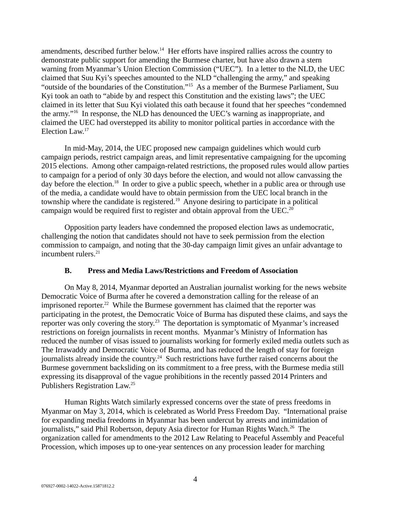amendments, described further below.<sup>14</sup> Her efforts have inspired rallies across the country to demonstrate public support for amending the Burmese charter, but have also drawn a stern warning from Myanmar's Union Election Commission ("UEC"). In a letter to the NLD, the UEC claimed that Suu Kyi's speeches amounted to the NLD "challenging the army," and speaking "outside of the boundaries of the Constitution."<sup>15</sup> As a member of the Burmese Parliament, Suu Kyi took an oath to "abide by and respect this Constitution and the existing laws"; the UEC claimed in its letter that Suu Kyi violated this oath because it found that her speeches "condemned the army."<sup>16</sup> In response, the NLD has denounced the UEC's warning as inappropriate, and claimed the UEC had overstepped its ability to monitor political parties in accordance with the Election Law.<sup>17</sup>

In mid-May, 2014, the UEC proposed new campaign guidelines which would curb campaign periods, restrict campaign areas, and limit representative campaigning for the upcoming 2015 elections. Among other campaign-related restrictions, the proposed rules would allow parties to campaign for a period of only 30 days before the election, and would not allow canvassing the day before the election.<sup>18</sup> In order to give a public speech, whether in a public area or through use of the media, a candidate would have to obtain permission from the UEC local branch in the township where the candidate is registered.<sup>19</sup> Anyone desiring to participate in a political campaign would be required first to register and obtain approval from the UEC.<sup>20</sup>

Opposition party leaders have condemned the proposed election laws as undemocratic, challenging the notion that candidates should not have to seek permission from the election commission to campaign, and noting that the 30-day campaign limit gives an unfair advantage to incumbent rulers. $21$ 

# <span id="page-3-0"></span>**B. Press and Media Laws/Restrictions and Freedom of Association**

On May 8, 2014, Myanmar deported an Australian journalist working for the news website Democratic Voice of Burma after he covered a demonstration calling for the release of an imprisoned reporter.<sup>22</sup> While the Burmese government has claimed that the reporter was participating in the protest, the Democratic Voice of Burma has disputed these claims, and says the reporter was only covering the story.<sup>23</sup> The deportation is symptomatic of Myanmar's increased restrictions on foreign journalists in recent months. Myanmar's Ministry of Information has reduced the number of visas issued to journalists working for formerly exiled media outlets such as The Irrawaddy and Democratic Voice of Burma, and has reduced the length of stay for foreign journalists already inside the country.<sup>24</sup> Such restrictions have further raised concerns about the Burmese government backsliding on its commitment to a free press, with the Burmese media still expressing its disapproval of the vague prohibitions in the recently passed 2014 Printers and Publishers Registration Law.<sup>25</sup>

Human Rights Watch similarly expressed concerns over the state of press freedoms in Myanmar on May 3, 2014, which is celebrated as World Press Freedom Day. "International praise for expanding media freedoms in Myanmar has been undercut by arrests and intimidation of journalists," said Phil Robertson, deputy Asia director for Human Rights Watch.<sup>26</sup> The organization called for amendments to the 2012 Law Relating to Peaceful Assembly and Peaceful Procession, which imposes up to one-year sentences on any procession leader for marching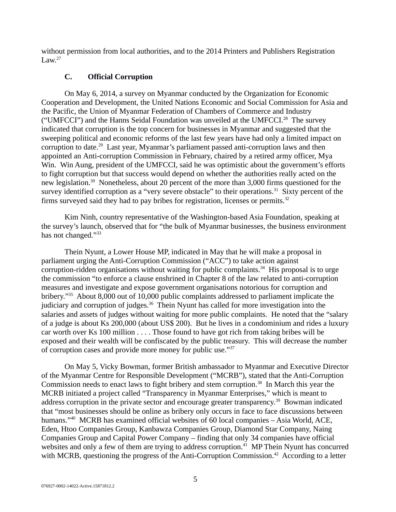without permission from local authorities, and to the 2014 Printers and Publishers Registration Law. $27$ 

# <span id="page-4-0"></span>**C. Official Corruption**

On May 6, 2014, a survey on Myanmar conducted by the Organization for Economic Cooperation and Development, the United Nations Economic and Social Commission for Asia and the Pacific, the Union of Myanmar Federation of Chambers of Commerce and Industry ("UMFCCI") and the Hanns Seidal Foundation was unveiled at the UMFCCI.<sup>28</sup> The survey indicated that corruption is the top concern for businesses in Myanmar and suggested that the sweeping political and economic reforms of the last few years have had only a limited impact on corruption to date.<sup>29</sup> Last year, Myanmar's parliament passed anti-corruption laws and then appointed an Anti-corruption Commission in February, chaired by a retired army officer, Mya Win. Win Aung, president of the UMFCCI, said he was optimistic about the government's efforts to fight corruption but that success would depend on whether the authorities really acted on the new legislation.<sup>30</sup> Nonetheless, about 20 percent of the more than 3,000 firms questioned for the survey identified corruption as a "very severe obstacle" to their operations.<sup>31</sup> Sixty percent of the firms surveyed said they had to pay bribes for registration, licenses or permits. $32$ 

Kim Ninh, country representative of the Washington-based Asia Foundation, speaking at the survey's launch, observed that for "the bulk of Myanmar businesses, the business environment has not changed."33

Thein Nyunt, a Lower House MP, indicated in May that he will make a proposal in parliament urging the Anti-Corruption Commission ("ACC") to take action against corruption-ridden organisations without waiting for public complaints. $34$  His proposal is to urge the commission "to enforce a clause enshrined in Chapter 8 of the law related to anti-corruption measures and investigate and expose government organisations notorious for corruption and bribery."<sup>35</sup> About 8,000 out of 10,000 public complaints addressed to parliament implicate the judiciary and corruption of judges.<sup>36</sup> Thein Nyunt has called for more investigation into the salaries and assets of judges without waiting for more public complaints. He noted that the "salary of a judge is about Ks 200,000 (about US\$ 200). But he lives in a condominium and rides a luxury car worth over Ks 100 million . . . . Those found to have got rich from taking bribes will be exposed and their wealth will be confiscated by the public treasury. This will decrease the number of corruption cases and provide more money for public use."<sup>37</sup>

On May 5, Vicky Bowman, former British ambassador to Myanmar and Executive Director of the Myanmar Centre for Responsible Development ("MCRB"), stated that the Anti-Corruption Commission needs to enact laws to fight bribery and stem corruption.<sup>38</sup> In March this year the MCRB initiated a project called "Transparency in Myanmar Enterprises," which is meant to address corruption in the private sector and encourage greater transparency.<sup>39</sup> Bowman indicated that "most businesses should be online as bribery only occurs in face to face discussions between humans."<sup>40</sup> MCRB has examined official websites of 60 local companies – Asia World, ACE, Eden, Htoo Companies Group, Kanbawza Companies Group, Diamond Star Company, Naing Companies Group and Capital Power Company – finding that only 34 companies have official websites and only a few of them are trying to address corruption.<sup>41</sup> MP Thein Nyunt has concurred with MCRB, questioning the progress of the Anti-Corruption Commission.<sup>42</sup> According to a letter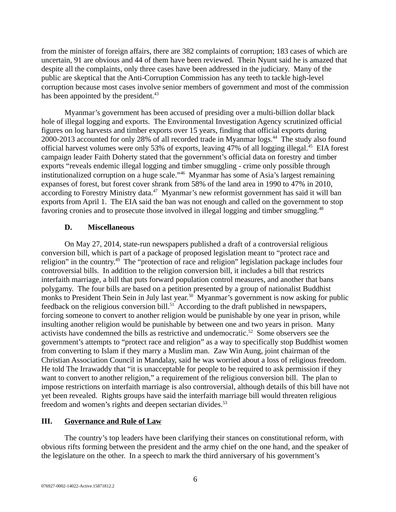from the minister of foreign affairs, there are 382 complaints of corruption; 183 cases of which are uncertain, 91 are obvious and 44 of them have been reviewed. Thein Nyunt said he is amazed that despite all the complaints, only three cases have been addressed in the judiciary. Many of the public are skeptical that the Anti-Corruption Commission has any teeth to tackle high-level corruption because most cases involve senior members of government and most of the commission has been appointed by the president.<sup>43</sup>

Myanmar's government has been accused of presiding over a multi-billion dollar black hole of illegal logging and exports. The Environmental Investigation Agency scrutinized official figures on log harvests and timber exports over 15 years, finding that official exports during 2000-2013 accounted for only 28% of all recorded trade in Myanmar logs.<sup>44</sup> The study also found official harvest volumes were only 53% of exports, leaving 47% of all logging illegal.<sup>45</sup> EIA forest campaign leader Faith Doherty stated that the government's official data on forestry and timber exports "reveals endemic illegal logging and timber smuggling - crime only possible through institutionalized corruption on a huge scale."<sup>46</sup> Myanmar has some of Asia's largest remaining expanses of forest, but forest cover shrank from 58% of the land area in 1990 to 47% in 2010, according to Forestry Ministry data.<sup>47</sup> Myanmar's new reformist government has said it will ban exports from April 1. The EIA said the ban was not enough and called on the government to stop favoring cronies and to prosecute those involved in illegal logging and timber smuggling.<sup>48</sup>

# <span id="page-5-1"></span>**D. Miscellaneous**

On May 27, 2014, state-run newspapers published a draft of a controversial religious conversion bill, which is part of a package of proposed legislation meant to "protect race and religion" in the country.<sup>49</sup> The "protection of race and religion" legislation package includes four controversial bills. In addition to the religion conversion bill, it includes a bill that restricts interfaith marriage, a bill that puts forward population control measures, and another that bans polygamy. The four bills are based on a petition presented by a group of nationalist Buddhist monks to President Thein Sein in July last year.<sup>50</sup> Myanmar's government is now asking for public feedback on the religious conversion bill.<sup>51</sup> According to the draft published in newspapers, forcing someone to convert to another religion would be punishable by one year in prison, while insulting another religion would be punishable by between one and two years in prison. Many activists have condemned the bills as restrictive and undemocratic.<sup>52</sup> Some observers see the government's attempts to "protect race and religion" as a way to specifically stop Buddhist women from converting to Islam if they marry a Muslim man. Zaw Win Aung, joint chairman of the Christian Association Council in Mandalay, said he was worried about a loss of religious freedom. He told The Irrawaddy that "it is unacceptable for people to be required to ask permission if they want to convert to another religion," a requirement of the religious conversion bill. The plan to impose restrictions on interfaith marriage is also controversial, although details of this bill have not yet been revealed. Rights groups have said the interfaith marriage bill would threaten religious freedom and women's rights and deepen sectarian divides. $53$ 

# <span id="page-5-0"></span>**III. Governance and Rule of Law**

The country's top leaders have been clarifying their stances on constitutional reform, with obvious rifts forming between the president and the army chief on the one hand, and the speaker of the legislature on the other. In a speech to mark the third anniversary of his government's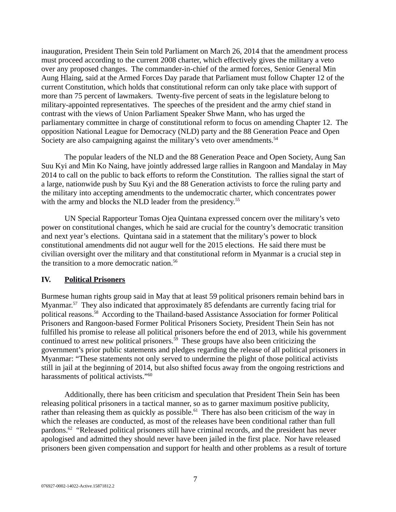inauguration, President Thein Sein told Parliament on March 26, 2014 that the amendment process must proceed according to the current 2008 charter, which effectively gives the military a veto over any proposed changes. The commander-in-chief of the armed forces, Senior General Min Aung Hlaing, said at the Armed Forces Day parade that Parliament must follow Chapter 12 of the current Constitution, which holds that constitutional reform can only take place with support of more than 75 percent of lawmakers. Twenty-five percent of seats in the legislature belong to military-appointed representatives. The speeches of the president and the army chief stand in contrast with the views of Union Parliament Speaker Shwe Mann, who has urged the parliamentary committee in charge of constitutional reform to focus on amending Chapter 12. The opposition National League for Democracy (NLD) party and the 88 Generation Peace and Open Society are also campaigning against the military's veto over amendments.<sup>54</sup>

The popular leaders of the NLD and the 88 Generation Peace and Open Society, Aung San Suu Kyi and Min Ko Naing, have jointly addressed large rallies in Rangoon and Mandalay in May 2014 to call on the public to back efforts to reform the Constitution. The rallies signal the start of a large, nationwide push by Suu Kyi and the 88 Generation activists to force the ruling party and the military into accepting amendments to the undemocratic charter, which concentrates power with the army and blocks the NLD leader from the presidency.<sup>55</sup>

UN Special Rapporteur Tomas Ojea Quintana expressed concern over the military's veto power on constitutional changes, which he said are crucial for the country's democratic transition and next year's elections. Quintana said in a statement that the military's power to block constitutional amendments did not augur well for the 2015 elections. He said there must be civilian oversight over the military and that constitutional reform in Myanmar is a crucial step in the transition to a more democratic nation.<sup>56</sup>

# <span id="page-6-0"></span>**IV. Political Prisoners**

Burmese human rights group said in May that at least 59 political prisoners remain behind bars in Myanmar.<sup>57</sup> They also indicated that approximately 85 defendants are currently facing trial for political reasons.<sup>58</sup> According to the Thailand-based Assistance Association for former Political Prisoners and Rangoon-based Former Political Prisoners Society, President Thein Sein has not fulfilled his promise to release all political prisoners before the end of 2013, while his government continued to arrest new political prisoners.<sup>59</sup> These groups have also been criticizing the government's prior public statements and pledges regarding the release of all political prisoners in Myanmar: "These statements not only served to undermine the plight of those political activists still in jail at the beginning of 2014, but also shifted focus away from the ongoing restrictions and harassments of political activists."<sup>60</sup>

Additionally, there has been criticism and speculation that President Thein Sein has been releasing political prisoners in a tactical manner, so as to garner maximum positive publicity, rather than releasing them as quickly as possible. $61$  There has also been criticism of the way in which the releases are conducted, as most of the releases have been conditional rather than full pardons.<sup>62</sup> "Released political prisoners still have criminal records, and the president has never apologised and admitted they should never have been jailed in the first place. Nor have released prisoners been given compensation and support for health and other problems as a result of torture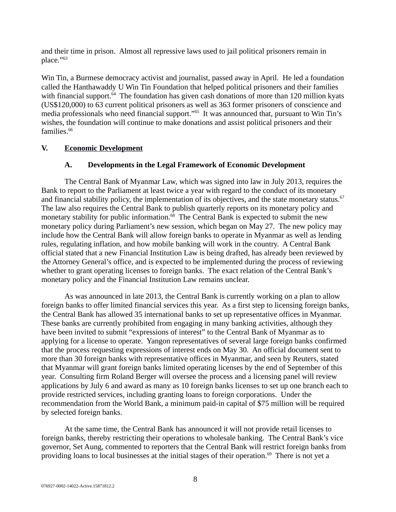and their time in prison. Almost all repressive laws used to jail political prisoners remain in place." $^{63}$ 

Win Tin, a Burmese democracy activist and journalist, passed away in April. He led a foundation called the Hanthawaddy U Win Tin Foundation that helped political prisoners and their families with financial support.<sup> $64$ </sup> The foundation has given cash donations of more than 120 million kyats (US\$120,000) to 63 current political prisoners as well as 363 former prisoners of conscience and media professionals who need financial support."<sup>65</sup> It was announced that, pursuant to Win Tin's wishes, the foundation will continue to make donations and assist political prisoners and their families.<sup>66</sup>

# **V. Economic Development**

# <span id="page-7-1"></span><span id="page-7-0"></span>**A. Developments in the Legal Framework of Economic Development**

The Central Bank of Myanmar Law, which was signed into law in July 2013, requires the Bank to report to the Parliament at least twice a year with regard to the conduct of its monetary and financial stability policy, the implementation of its objectives, and the state monetary status. $67$ The law also requires the Central Bank to publish quarterly reports on its monetary policy and monetary stability for public information. $^{68}$  The Central Bank is expected to submit the new monetary policy during Parliament's new session, which began on May 27. The new policy may include how the Central Bank will allow foreign banks to operate in Myanmar as well as lending rules, regulating inflation, and how mobile banking will work in the country. A Central Bank official stated that a new Financial Institution Law is being drafted, has already been reviewed by the Attorney General's office, and is expected to be implemented during the process of reviewing whether to grant operating licenses to foreign banks. The exact relation of the Central Bank's monetary policy and the Financial Institution Law remains unclear.

As was announced in late 2013, the Central Bank is currently working on a plan to allow foreign banks to offer limited financial services this year. As a first step to licensing foreign banks, the Central Bank has allowed 35 international banks to set up representative offices in Myanmar. These banks are currently prohibited from engaging in many banking activities, although they have been invited to submit "expressions of interest" to the Central Bank of Myanmar as to applying for a license to operate. Yangon representatives of several large foreign banks confirmed that the process requesting expressions of interest ends on May 30. An official document sent to more than 30 foreign banks with representative offices in Myanmar, and seen by Reuters, stated that Myanmar will grant foreign banks limited operating licenses by the end of September of this year. Consulting firm Roland Berger will oversee the process and a licensing panel will review applications by July 6 and award as many as 10 foreign banks licenses to set up one branch each to provide restricted services, including granting loans to foreign corporations. Under the recommendation from the World Bank, a minimum paid-in capital of \$75 million will be required by selected foreign banks.

At the same time, the Central Bank has announced it will not provide retail licenses to foreign banks, thereby restricting their operations to wholesale banking. The Central Bank's vice governor, Set Aung, commented to reporters that the Central Bank will restrict foreign banks from providing loans to local businesses at the initial stages of their operation.<sup>69</sup> There is not yet a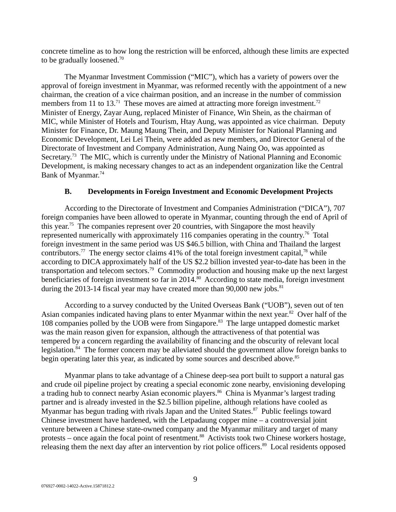concrete timeline as to how long the restriction will be enforced, although these limits are expected to be gradually loosened.<sup>70</sup>

The Myanmar Investment Commission ("MIC"), which has a variety of powers over the approval of foreign investment in Myanmar, was reformed recently with the appointment of a new chairman, the creation of a vice chairman position, and an increase in the number of commission members from 11 to 13.<sup>71</sup> These moves are aimed at attracting more foreign investment.<sup>72</sup> Minister of Energy, Zayar Aung, replaced Minister of Finance, Win Shein, as the chairman of MIC, while Minister of Hotels and Tourism, Htay Aung, was appointed as vice chairman. Deputy Minister for Finance, Dr. Maung Maung Thein, and Deputy Minister for National Planning and Economic Development, Lei Lei Thein, were added as new members, and Director General of the Directorate of Investment and Company Administration, Aung Naing Oo, was appointed as Secretary.<sup>73</sup> The MIC, which is currently under the Ministry of National Planning and Economic Development, is making necessary changes to act as an independent organization like the Central Bank of Myanmar.<sup>74</sup>

# <span id="page-8-0"></span>**B. Developments in Foreign Investment and Economic Development Projects**

According to the Directorate of Investment and Companies Administration ("DICA"), 707 foreign companies have been allowed to operate in Myanmar, counting through the end of April of this year.<sup>75</sup> The companies represent over 20 countries, with Singapore the most heavily represented numerically with approximately 116 companies operating in the country.<sup>76</sup> Total foreign investment in the same period was US \$46.5 billion, with China and Thailand the largest contributors.<sup>77</sup> The energy sector claims 41% of the total foreign investment capital,<sup>78</sup> while according to DICA approximately half of the US \$2.2 billion invested year-to-date has been in the transportation and telecom sectors.<sup>79</sup> Commodity production and housing make up the next largest beneficiaries of foreign investment so far in  $2014<sup>80</sup>$  According to state media, foreign investment during the 2013-14 fiscal year may have created more than  $90,000$  new jobs. $81$ 

According to a survey conducted by the United Overseas Bank ("UOB"), seven out of ten Asian companies indicated having plans to enter Myanmar within the next year.<sup>82</sup> Over half of the 108 companies polled by the UOB were from Singapore.<sup>83</sup> The large untapped domestic market was the main reason given for expansion, although the attractiveness of that potential was tempered by a concern regarding the availability of financing and the obscurity of relevant local legislation. $84$  The former concern may be alleviated should the government allow foreign banks to begin operating later this year, as indicated by some sources and described above.<sup>85</sup>

Myanmar plans to take advantage of a Chinese deep-sea port built to support a natural gas and crude oil pipeline project by creating a special economic zone nearby, envisioning developing a trading hub to connect nearby Asian economic players.<sup>86</sup> China is Myanmar's largest trading partner and is already invested in the \$2.5 billion pipeline, although relations have cooled as Myanmar has begun trading with rivals Japan and the United States. $87$  Public feelings toward Chinese investment have hardened, with the Letpadaung copper mine – a controversial joint venture between a Chinese state-owned company and the Myanmar military and target of many protests – once again the focal point of resentment.<sup>88</sup> Activists took two Chinese workers hostage, releasing them the next day after an intervention by riot police officers.<sup>89</sup> Local residents opposed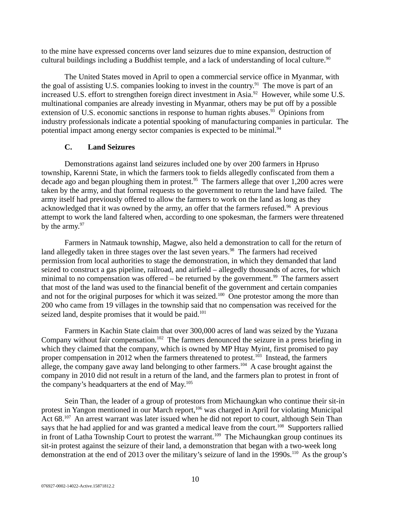to the mine have expressed concerns over land seizures due to mine expansion, destruction of cultural buildings including a Buddhist temple, and a lack of understanding of local culture.<sup>90</sup>

The United States moved in April to open a commercial service office in Myanmar, with the goal of assisting U.S. companies looking to invest in the country.<sup>91</sup> The move is part of an increased U.S. effort to strengthen foreign direct investment in Asia.<sup>92</sup> However, while some U.S. multinational companies are already investing in Myanmar, others may be put off by a possible extension of U.S. economic sanctions in response to human rights abuses. $93$  Opinions from industry professionals indicate a potential spooking of manufacturing companies in particular. The potential impact among energy sector companies is expected to be minimal.<sup>94</sup>

# <span id="page-9-0"></span>**C. Land Seizures**

Demonstrations against land seizures included one by over 200 farmers in Hpruso township, Karenni State, in which the farmers took to fields allegedly confiscated from them a decade ago and began ploughing them in protest.<sup>95</sup> The farmers allege that over 1,200 acres were taken by the army, and that formal requests to the government to return the land have failed. The army itself had previously offered to allow the farmers to work on the land as long as they acknowledged that it was owned by the army, an offer that the farmers refused.<sup>96</sup> A previous attempt to work the land faltered when, according to one spokesman, the farmers were threatened by the army. $97$ 

Farmers in Natmauk township, Magwe, also held a demonstration to call for the return of land allegedly taken in three stages over the last seven years.<sup>98</sup> The farmers had received permission from local authorities to stage the demonstration, in which they demanded that land seized to construct a gas pipeline, railroad, and airfield – allegedly thousands of acres, for which minimal to no compensation was offered – be returned by the government.<sup>99</sup> The farmers assert that most of the land was used to the financial benefit of the government and certain companies and not for the original purposes for which it was seized.<sup>100</sup> One protestor among the more than 200 who came from 19 villages in the township said that no compensation was received for the seized land, despite promises that it would be paid.<sup>101</sup>

Farmers in Kachin State claim that over 300,000 acres of land was seized by the Yuzana Company without fair compensation.<sup>102</sup> The farmers denounced the seizure in a press briefing in which they claimed that the company, which is owned by MP Htay Myint, first promised to pay proper compensation in 2012 when the farmers threatened to protest.<sup>103</sup> Instead, the farmers allege, the company gave away land belonging to other farmers.<sup>104</sup> A case brought against the company in 2010 did not result in a return of the land, and the farmers plan to protest in front of the company's headquarters at the end of  $May.^{105}$ 

Sein Than, the leader of a group of protestors from Michaungkan who continue their sit-in protest in Yangon mentioned in our March report,<sup>106</sup> was charged in April for violating Municipal Act 68.<sup>107</sup> An arrest warrant was later issued when he did not report to court, although Sein Than says that he had applied for and was granted a medical leave from the court.<sup>108</sup> Supporters rallied in front of Latha Township Court to protest the warrant.<sup>109</sup> The Michaungkan group continues its sit-in protest against the seizure of their land, a demonstration that began with a two-week long demonstration at the end of 2013 over the military's seizure of land in the 1990s.<sup>110</sup> As the group's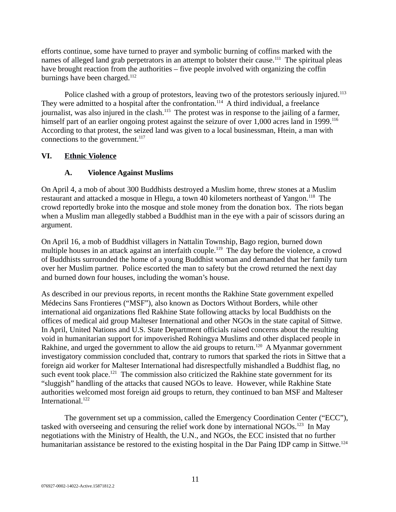efforts continue, some have turned to prayer and symbolic burning of coffins marked with the names of alleged land grab perpetrators in an attempt to bolster their cause.<sup>111</sup> The spiritual pleas have brought reaction from the authorities – five people involved with organizing the coffin burnings have been charged. $112$ 

Police clashed with a group of protestors, leaving two of the protestors seriously injured.<sup>113</sup> They were admitted to a hospital after the confrontation.<sup>114</sup> A third individual, a freelance journalist, was also injured in the clash.<sup>115</sup> The protest was in response to the jailing of a farmer, himself part of an earlier ongoing protest against the seizure of over 1,000 acres land in 1999. $^{116}$ According to that protest, the seized land was given to a local businessman, Htein, a man with connections to the government. $117$ 

# **VI. Ethnic Violence**

# <span id="page-10-1"></span><span id="page-10-0"></span>**A. Violence Against Muslims**

On April 4, a mob of about 300 Buddhists destroyed a Muslim home, threw stones at a Muslim restaurant and attacked a mosque in Hlegu, a town 40 kilometers northeast of Yangon.<sup>118</sup> The crowd reportedly broke into the mosque and stole money from the donation box. The riots began when a Muslim man allegedly stabbed a Buddhist man in the eye with a pair of scissors during an argument.

On April 16, a mob of Buddhist villagers in Nattalin Township, Bago region, burned down multiple houses in an attack against an interfaith couple.<sup>119</sup> The day before the violence, a crowd of Buddhists surrounded the home of a young Buddhist woman and demanded that her family turn over her Muslim partner. Police escorted the man to safety but the crowd returned the next day and burned down four houses, including the woman's house.

As described in our previous reports, in recent months the Rakhine State government expelled Médecins Sans Frontieres ("MSF"), also known as Doctors Without Borders, while other international aid organizations fled Rakhine State following attacks by local Buddhists on the offices of medical aid group Malteser International and other NGOs in the state capital of Sittwe. In April, United Nations and U.S. State Department officials raised concerns about the resulting void in humanitarian support for impoverished Rohingya Muslims and other displaced people in Rakhine, and urged the government to allow the aid groups to return.<sup>120</sup> A Myanmar government investigatory commission concluded that, contrary to rumors that sparked the riots in Sittwe that a foreign aid worker for Malteser International had disrespectfully mishandled a Buddhist flag, no such event took place.<sup>121</sup> The commission also criticized the Rakhine state government for its "sluggish" handling of the attacks that caused NGOs to leave. However, while Rakhine State authorities welcomed most foreign aid groups to return, they continued to ban MSF and Malteser International.<sup>122</sup>

The government set up a commission, called the Emergency Coordination Center ("ECC"), tasked with overseeing and censuring the relief work done by international NGOs.<sup>123</sup> In May negotiations with the Ministry of Health, the U.N., and NGOs, the ECC insisted that no further humanitarian assistance be restored to the existing hospital in the Dar Paing IDP camp in Sittwe.<sup>124</sup>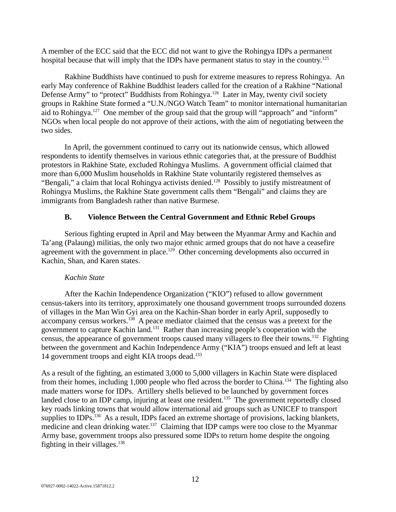A member of the ECC said that the ECC did not want to give the Rohingya IDPs a permanent hospital because that will imply that the IDPs have permanent status to stay in the country.<sup>125</sup>

Rakhine Buddhists have continued to push for extreme measures to repress Rohingya. An early May conference of Rakhine Buddhist leaders called for the creation of a Rakhine "National Defense Army" to "protect" Buddhists from Rohingya.<sup>126</sup> Later in May, twenty civil society groups in Rakhine State formed a "U.N./NGO Watch Team" to monitor international humanitarian aid to Rohingya.<sup>127</sup> One member of the group said that the group will "approach" and "inform" NGOs when local people do not approve of their actions, with the aim of negotiating between the two sides.

In April, the government continued to carry out its nationwide census, which allowed respondents to identify themselves in various ethnic categories that, at the pressure of Buddhist protestors in Rakhine State, excluded Rohingya Muslims. A government official claimed that more than 6,000 Muslim households in Rakhine State voluntarily registered themselves as "Bengali," a claim that local Rohingya activists denied.<sup>128</sup> Possibly to justify mistreatment of Rohingya Muslims, the Rakhine State government calls them "Bengali" and claims they are immigrants from Bangladesh rather than native Burmese.

# <span id="page-11-0"></span>**B. Violence Between the Central Government and Ethnic Rebel Groups**

Serious fighting erupted in April and May between the Myanmar Army and Kachin and Ta'ang (Palaung) militias, the only two major ethnic armed groups that do not have a ceasefire agreement with the government in place.<sup>129</sup> Other concerning developments also occurred in Kachin, Shan, and Karen states.

# *Kachin State*

After the Kachin Independence Organization ("KIO") refused to allow government census-takers into its territory, approximately one thousand government troops surrounded dozens of villages in the Man Win Gyi area on the Kachin-Shan border in early April, supposedly to accompany census workers.<sup>130</sup> A peace mediator claimed that the census was a pretext for the government to capture Kachin land.<sup>131</sup> Rather than increasing people's cooperation with the census, the appearance of government troops caused many villagers to flee their towns.<sup>132</sup> Fighting between the government and Kachin Independence Army ("KIA") troops ensued and left at least 14 government troops and eight KIA troops dead. $133$ 

As a result of the fighting, an estimated 3,000 to 5,000 villagers in Kachin State were displaced from their homes, including 1,000 people who fled across the border to China.<sup>134</sup> The fighting also made matters worse for IDPs. Artillery shells believed to be launched by government forces landed close to an IDP camp, injuring at least one resident.<sup>135</sup> The government reportedly closed key roads linking towns that would allow international aid groups such as UNICEF to transport supplies to IDPs.<sup>136</sup> As a result, IDPs faced an extreme shortage of provisions, lacking blankets, medicine and clean drinking water.<sup>137</sup> Claiming that IDP camps were too close to the Myanmar Army base, government troops also pressured some IDPs to return home despite the ongoing fighting in their villages. $138$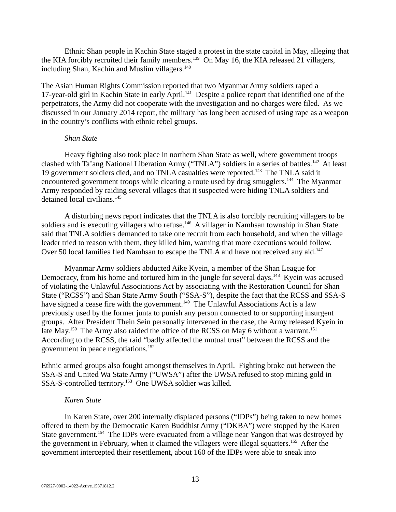Ethnic Shan people in Kachin State staged a protest in the state capital in May, alleging that the KIA forcibly recruited their family members.<sup>139</sup> On May 16, the KIA released 21 villagers, including Shan, Kachin and Muslim villagers.<sup>140</sup>

The Asian Human Rights Commission reported that two Myanmar Army soldiers raped a 17-year-old girl in Kachin State in early April.<sup>141</sup> Despite a police report that identified one of the perpetrators, the Army did not cooperate with the investigation and no charges were filed. As we discussed in our January 2014 report, the military has long been accused of using rape as a weapon in the country's conflicts with ethnic rebel groups.

## *Shan State*

Heavy fighting also took place in northern Shan State as well, where government troops clashed with Ta'ang National Liberation Army ("TNLA") soldiers in a series of battles.<sup>142</sup> At least 19 government soldiers died, and no TNLA casualties were reported.<sup>143</sup> The TNLA said it encountered government troops while clearing a route used by drug smugglers.<sup>144</sup> The Myanmar Army responded by raiding several villages that it suspected were hiding TNLA soldiers and detained local civilians.<sup>145</sup>

A disturbing news report indicates that the TNLA is also forcibly recruiting villagers to be soldiers and is executing villagers who refuse.<sup>146</sup> A villager in Namhsan township in Shan State said that TNLA soldiers demanded to take one recruit from each household, and when the village leader tried to reason with them, they killed him, warning that more executions would follow. Over 50 local families fled Namhsan to escape the TNLA and have not received any aid.<sup>147</sup>

Myanmar Army soldiers abducted Aike Kyein, a member of the Shan League for Democracy, from his home and tortured him in the jungle for several days.<sup>148</sup> Kyein was accused of violating the Unlawful Associations Act by associating with the Restoration Council for Shan State ("RCSS") and Shan State Army South ("SSA-S"), despite the fact that the RCSS and SSA-S have signed a cease fire with the government.<sup>149</sup> The Unlawful Associations Act is a law previously used by the former junta to punish any person connected to or supporting insurgent groups. After President Thein Sein personally intervened in the case, the Army released Kyein in late May.<sup>150</sup> The Army also raided the office of the RCSS on May 6 without a warrant.<sup>151</sup> According to the RCSS, the raid "badly affected the mutual trust" between the RCSS and the government in peace negotiations.<sup>152</sup>

Ethnic armed groups also fought amongst themselves in April. Fighting broke out between the SSA-S and United Wa State Army ("UWSA") after the UWSA refused to stop mining gold in SSA-S-controlled territory.<sup>153</sup> One UWSA soldier was killed.

# *Karen State*

In Karen State, over 200 internally displaced persons ("IDPs") being taken to new homes offered to them by the Democratic Karen Buddhist Army ("DKBA") were stopped by the Karen State government.<sup>154</sup> The IDPs were evacuated from a village near Yangon that was destroyed by the government in February, when it claimed the villagers were illegal squatters.<sup>155</sup> After the government intercepted their resettlement, about 160 of the IDPs were able to sneak into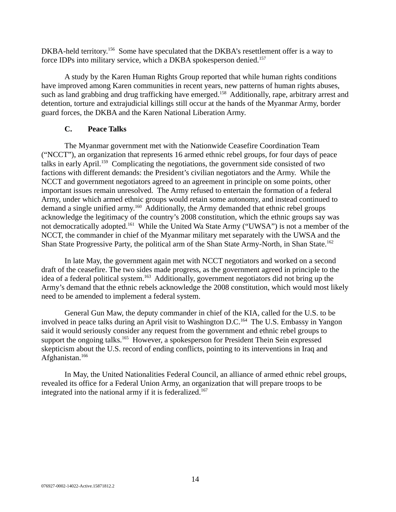DKBA-held territory.<sup>156</sup> Some have speculated that the DKBA's resettlement offer is a way to force IDPs into military service, which a DKBA spokesperson denied.<sup>157</sup>

A study by the Karen Human Rights Group reported that while human rights conditions have improved among Karen communities in recent years, new patterns of human rights abuses, such as land grabbing and drug trafficking have emerged.<sup>158</sup> Additionally, rape, arbitrary arrest and detention, torture and extrajudicial killings still occur at the hands of the Myanmar Army, border guard forces, the DKBA and the Karen National Liberation Army.

# <span id="page-13-0"></span>**C. Peace Talks**

The Myanmar government met with the Nationwide Ceasefire Coordination Team ("NCCT"), an organization that represents 16 armed ethnic rebel groups, for four days of peace talks in early April.<sup>159</sup> Complicating the negotiations, the government side consisted of two factions with different demands: the President's civilian negotiators and the Army. While the NCCT and government negotiators agreed to an agreement in principle on some points, other important issues remain unresolved. The Army refused to entertain the formation of a federal Army, under which armed ethnic groups would retain some autonomy, and instead continued to demand a single unified army.<sup>160</sup> Additionally, the Army demanded that ethnic rebel groups acknowledge the legitimacy of the country's 2008 constitution, which the ethnic groups say was not democratically adopted.<sup>161</sup> While the United Wa State Army ("UWSA") is not a member of the NCCT, the commander in chief of the Myanmar military met separately with the UWSA and the Shan State Progressive Party, the political arm of the Shan State Army-North, in Shan State.<sup>162</sup>

In late May, the government again met with NCCT negotiators and worked on a second draft of the ceasefire. The two sides made progress, as the government agreed in principle to the idea of a federal political system.<sup>163</sup> Additionally, government negotiators did not bring up the Army's demand that the ethnic rebels acknowledge the 2008 constitution, which would most likely need to be amended to implement a federal system.

General Gun Maw, the deputy commander in chief of the KIA, called for the U.S. to be involved in peace talks during an April visit to Washington D.C.<sup>164</sup> The U.S. Embassy in Yangon said it would seriously consider any request from the government and ethnic rebel groups to support the ongoing talks.<sup>165</sup> However, a spokesperson for President Thein Sein expressed skepticism about the U.S. record of ending conflicts, pointing to its interventions in Iraq and Afghanistan.<sup>166</sup>

In May, the United Nationalities Federal Council, an alliance of armed ethnic rebel groups, revealed its office for a Federal Union Army, an organization that will prepare troops to be integrated into the national army if it is federalized.<sup>167</sup>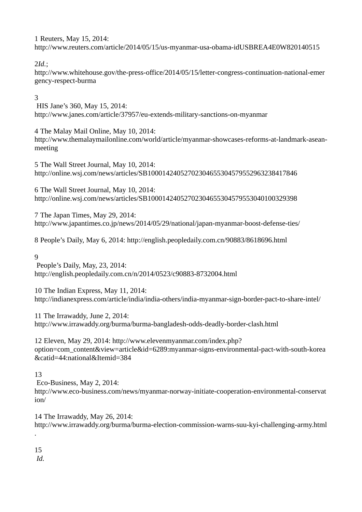1 Reuters, May 15, 2014: http://www.reuters.com/article/2014/05/15/us-myanmar-usa-obama-idUSBREA4E0W820140515

2*Id.*;

http://www.whitehouse.gov/the-press-office/2014/05/15/letter-congress-continuation-national-emer gency-respect-burma

# 3

HIS Jane's 360, May 15, 2014: http://www.janes.com/article/37957/eu-extends-military-sanctions-on-myanmar

4 The Malay Mail Online, May 10, 2014: http://www.themalaymailonline.com/world/article/myanmar-showcases-reforms-at-landmark-aseanmeeting

5 The Wall Street Journal, May 10, 2014: http://online.wsj.com/news/articles/SB10001424052702304655304579552963238417846

6 The Wall Street Journal, May 10, 2014: http://online.wsj.com/news/articles/SB10001424052702304655304579553040100329398

7 The Japan Times, May 29, 2014: http://www.japantimes.co.jp/news/2014/05/29/national/japan-myanmar-boost-defense-ties/

8 People's Daily, May 6, 2014: http://english.peopledaily.com.cn/90883/8618696.html

9

People's Daily, May, 23, 2014: http://english.peopledaily.com.cn/n/2014/0523/c90883-8732004.html

10 The Indian Express, May 11, 2014: http://indianexpress.com/article/india/india-others/india-myanmar-sign-border-pact-to-share-intel/

11 The Irrawaddy, June 2, 2014: http://www.irrawaddy.org/burma/burma-bangladesh-odds-deadly-border-clash.html

12 Eleven, May 29, 2014: http://www.elevenmyanmar.com/index.php? option=com\_content&view=article&id=6289:myanmar-signs-environmental-pact-with-south-korea &catid=44:national&Itemid=384

# 13

Eco-Business, May 2, 2014: http://www.eco-business.com/news/myanmar-norway-initiate-cooperation-environmental-conservat ion/

14 The Irrawaddy, May 26, 2014: http://www.irrawaddy.org/burma/burma-election-commission-warns-suu-kyi-challenging-army.html

15

.

*Id.*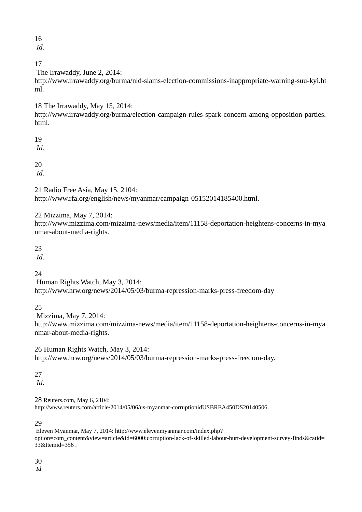*Id*.

# 17

The Irrawaddy, June 2, 2014:

http://www.irrawaddy.org/burma/nld-slams-election-commissions-inappropriate-warning-suu-kyi.ht ml.

18 The Irrawaddy, May 15, 2014:

http://www.irrawaddy.org/burma/election-campaign-rules-spark-concern-among-opposition-parties. html.

19 *Id.*

20

*Id.*

21 Radio Free Asia, May 15, 2104: http://www.rfa.org/english/news/myanmar/campaign-05152014185400.html.

22 Mizzima, May 7, 2014:

http://www.mizzima.com/mizzima-news/media/item/11158-deportation-heightens-concerns-in-mya nmar-about-media-rights.

23

*Id.*

24

Human Rights Watch, May 3, 2014: http://www.hrw.org/news/2014/05/03/burma-repression-marks-press-freedom-day

25

Mizzima, May 7, 2014:

http://www.mizzima.com/mizzima-news/media/item/11158-deportation-heightens-concerns-in-mya nmar-about-media-rights.

26 Human Rights Watch, May 3, 2014: http://www.hrw.org/news/2014/05/03/burma-repression-marks-press-freedom-day.

27

*Id*.

28 Reuters.com, May 6, 2104: http://www.reuters.com/article/2014/05/06/us-myanmar-corruptionidUSBREA450DS20140506.

# 29

Eleven Myanmar, May 7, 2014: http://www.elevenmyanmar.com/index.php? option=com\_content&view=article&id=6000:corruption-lack-of-skilled-labour-hurt-development-survey-finds&catid= 33&Itemid=356 .

30

*Id*.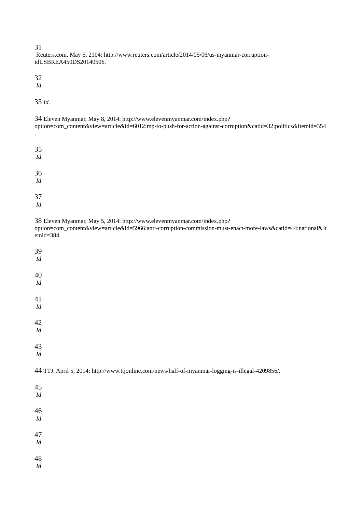Reuters.com, May 6, 2104: http://www.reuters.com/article/2014/05/06/us-myanmar-corruptionidUSBREA450DS20140506.

32

*Id*.

33 *Id.* 

| 34 Eleven Myanmar, May 8, 2014: http://www.elevenmyanmar.com/index.php?                                       |
|---------------------------------------------------------------------------------------------------------------|
| option=com_content&view=article&id=6012:mp-to-push-for-action-against-corruption&catid=32:politics&Itemid=354 |
|                                                                                                               |

35 *Id*. 36 *Id*.

37 *Id*.

38 Eleven Myanmar, May 5, 2014: http://www.elevenmyanmar.com/index.php?

option=com\_content&view=article&id=5966:anti-corruption-commission-must-enact-more-laws&catid=44:national&It emid=384.

| 39<br>Id.                                                                                         |  |
|---------------------------------------------------------------------------------------------------|--|
| 40<br>$\it{Id}.$                                                                                  |  |
| 41<br>$\it{Id}.$                                                                                  |  |
| 42<br>Id.                                                                                         |  |
| 43<br>Id.                                                                                         |  |
|                                                                                                   |  |
| 44 TTJ, April 5, 2014: http://www.ttjonline.com/news/half-of-myanmar-logging-is-illegal-4209856/. |  |
| 45<br>Id.                                                                                         |  |
| 46<br>Id.                                                                                         |  |
| 47<br>$\it{Id}.$                                                                                  |  |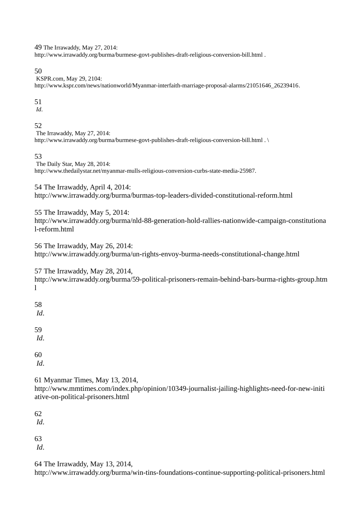49 The Irrawaddy, May 27, 2014:

http://www.irrawaddy.org/burma/burmese-govt-publishes-draft-religious-conversion-bill.html .

50

KSPR.com, May 29, 2104: http://www.kspr.com/news/nationworld/Myanmar-interfaith-marriage-proposal-alarms/21051646\_26239416.

51

*Id*.

52

The Irrawaddy, May 27, 2014: http://www.irrawaddy.org/burma/burmese-govt-publishes-draft-religious-conversion-bill.html . \

53

The Daily Star, May 28, 2014: http://www.thedailystar.net/myanmar-mulls-religious-conversion-curbs-state-media-25987.

54 The Irrawaddy, April 4, 2014: http://www.irrawaddy.org/burma/burmas-top-leaders-divided-constitutional-reform.html

55 The Irrawaddy, May 5, 2014: http://www.irrawaddy.org/burma/nld-88-generation-hold-rallies-nationwide-campaign-constitutiona l-reform.html

56 The Irrawaddy, May 26, 2014: http://www.irrawaddy.org/burma/un-rights-envoy-burma-needs-constitutional-change.html

57 The Irrawaddy, May 28, 2014,

http://www.irrawaddy.org/burma/59-political-prisoners-remain-behind-bars-burma-rights-group.htm l

58 *Id*.

59

*Id*.

60

*Id*.

61 Myanmar Times, May 13, 2014,

http://www.mmtimes.com/index.php/opinion/10349-journalist-jailing-highlights-need-for-new-initi ative-on-political-prisoners.html

62

*Id*.

63

*Id*.

64 The Irrawaddy, May 13, 2014,

http://www.irrawaddy.org/burma/win-tins-foundations-continue-supporting-political-prisoners.html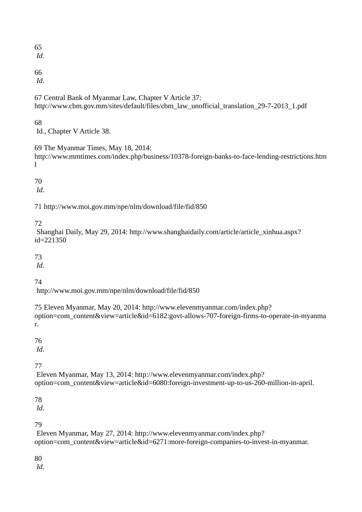*Id*.

66

*Id*.

67 Central Bank of Myanmar Law, Chapter V Article 37: http://www.cbm.gov.mm/sites/default/files/cbm\_law\_unofficial\_translation\_29-7-2013\_1.pdf

# 68

Id., Chapter V Article 38.

69 The Myanmar Times, May 18, 2014:

http://www.mmtimes.com/index.php/business/10378-foreign-banks-to-face-lending-restrictions.htm  $\mathbf{I}$ 

70

*Id*.

71 http://www.moi.gov.mm/npe/nlm/download/file/fid/850

72

Shanghai Daily, May 29, 2014: http://www.shanghaidaily.com/article/article\_xinhua.aspx? id=221350

73

*Id*.

74

http://www.moi.gov.mm/npe/nlm/download/file/fid/850

75 Eleven Myanmar, May 20, 2014: http://www.elevenmyanmar.com/index.php? option=com\_content&view=article&id=6182:govt-allows-707-foreign-firms-to-operate-in-myanma r.

76

*Id*.

77

Eleven Myanmar, May 13, 2014: http://www.elevenmyanmar.com/index.php? option=com\_content&view=article&id=6080:foreign-investment-up-to-us-260-million-in-april.

78

*Id*.

79

Eleven Myanmar, May 27, 2014: http://www.elevenmyanmar.com/index.php? option=com\_content&view=article&id=6271:more-foreign-companies-to-invest-in-myanmar.

80

*Id*.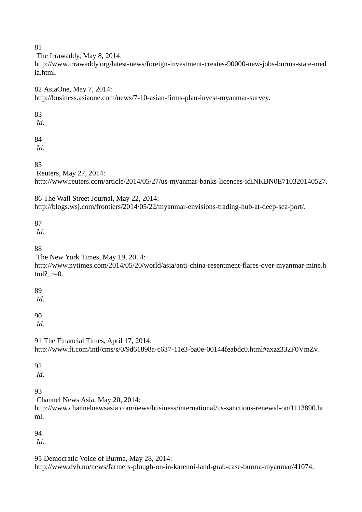The Irrawaddy, May 8, 2014:

http://www.irrawaddy.org/latest-news/foreign-investment-creates-90000-new-jobs-burma-state-med ia.html.

82 AsiaOne, May 7, 2014: http://business.asiaone.com/news/7-10-asian-firms-plan-invest-myanmar-survey.

83

*Id*.

84

*Id*.

85

Reuters, May 27, 2014:

http://www.reuters.com/article/2014/05/27/us-myanmar-banks-licences-idINKBN0E710320140527.

86 The Wall Street Journal, May 22, 2014: http://blogs.wsj.com/frontiers/2014/05/22/myanmar-envisions-trading-hub-at-deep-sea-port/.

87

*Id*.

88

The New York Times, May 19, 2014:

http://www.nytimes.com/2014/05/20/world/asia/anti-china-resentment-flares-over-myanmar-mine.h  $tml$ ?  $r=0$ .

89

*Id*.

90

*Id*.

91 The Financial Times, April 17, 2014: http://www.ft.com/intl/cms/s/0/9d61898a-c637-11e3-ba0e-00144feabdc0.html#axzz332F0VmZv.

**92** 

*Id*.

93

Channel News Asia, May 20, 2014:

http://www.channelnewsasia.com/news/business/international/us-sanctions-renewal-on/1113890.ht ml.

94

*Id*.

95 Democratic Voice of Burma, May 28, 2014: http://www.dvb.no/news/farmers-plough-on-in-karenni-land-grab-case-burma-myanmar/41074.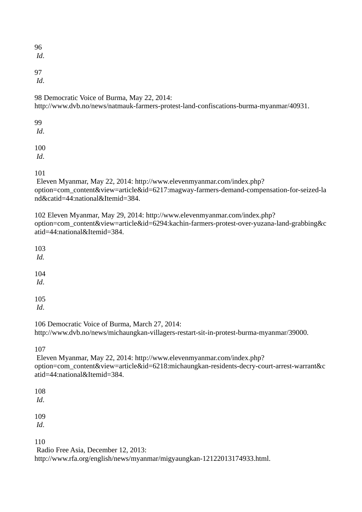*Id*.

97

*Id*.

98 Democratic Voice of Burma, May 22, 2014:

http://www.dvb.no/news/natmauk-farmers-protest-land-confiscations-burma-myanmar/40931.

99 *Id*.

100 *Id*.

101

Eleven Myanmar, May 22, 2014: http://www.elevenmyanmar.com/index.php? option=com\_content&view=article&id=6217:magway-farmers-demand-compensation-for-seized-la nd&catid=44:national&Itemid=384.

102 Eleven Myanmar, May 29, 2014: http://www.elevenmyanmar.com/index.php? option=com\_content&view=article&id=6294:kachin-farmers-protest-over-yuzana-land-grabbing&c atid=44:national&Itemid=384.

103 *Id.*

104 *Id*.

105

*Id*.

106 Democratic Voice of Burma, March 27, 2014:

http://www.dvb.no/news/michaungkan-villagers-restart-sit-in-protest-burma-myanmar/39000.

107

Eleven Myanmar, May 22, 2014: http://www.elevenmyanmar.com/index.php? option=com\_content&view=article&id=6218:michaungkan-residents-decry-court-arrest-warrant&c atid=44:national&Itemid=384.

108

*Id*.

109

*Id*.

110

Radio Free Asia, December 12, 2013:

http://www.rfa.org/english/news/myanmar/migyaungkan-12122013174933.html.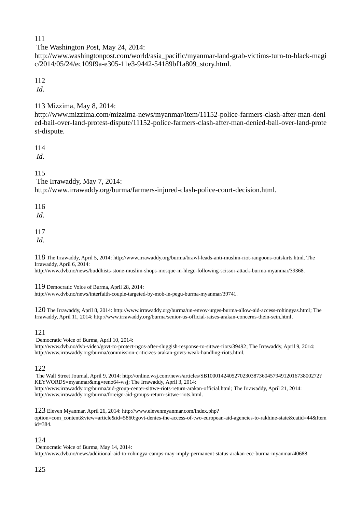The Washington Post, May 24, 2014:

http://www.washingtonpost.com/world/asia\_pacific/myanmar-land-grab-victims-turn-to-black-magi c/2014/05/24/ec109f9a-e305-11e3-9442-54189bf1a809\_story.html.

# 112

*Id*.

# 113 Mizzima, May 8, 2014:

http://www.mizzima.com/mizzima-news/myanmar/item/11152-police-farmers-clash-after-man-deni ed-bail-over-land-protest-dispute/11152-police-farmers-clash-after-man-denied-bail-over-land-prote st-dispute.

114

*Id*.

115

The Irrawaddy, May 7, 2014:

http://www.irrawaddy.org/burma/farmers-injured-clash-police-court-decision.html.

116

*Id*.

117

*Id*.

118 The Irrawaddy, April 5, 2014: http://www.irrawaddy.org/burma/brawl-leads-anti-muslim-riot-rangoons-outskirts.html. The Irrawaddy, April 6, 2014:

http://www.dvb.no/news/buddhists-stone-muslim-shops-mosque-in-hlegu-following-scissor-attack-burma-myanmar/39368.

119 Democratic Voice of Burma, April 28, 2014:

http://www.dvb.no/news/interfaith-couple-targeted-by-mob-in-pegu-burma-myanmar/39741.

120 The Irrawaddy, April 8, 2014: http://www.irrawaddy.org/burma/un-envoy-urges-burma-allow-aid-access-rohingyas.html; The Irrawaddy, April 11, 2014: http://www.irrawaddy.org/burma/senior-us-official-raises-arakan-concerns-thein-sein.html.

# 121

Democratic Voice of Burma, April 10, 2014:

http://www.dvb.no/dvb-video/govt-to-protect-ngos-after-sluggish-response-to-sittwe-riots/39492; The Irrawaddy, April 9, 2014: http://www.irrawaddy.org/burma/commission-criticizes-arakan-govts-weak-handling-riots.html.

## 122

The Wall Street Journal, April 9, 2014: http://online.wsj.com/news/articles/SB10001424052702303873604579491201673800272? KEYWORDS=myanmar&mg=reno64-wsj; The Irrawaddy, April 3, 2014: http://www.irrawaddy.org/burma/aid-group-center-sittwe-riots-return-arakan-official.html; The Irrawaddy, April 21, 2014: http://www.irrawaddy.org/burma/foreign-aid-groups-return-sittwe-riots.html.

123 Eleven Myanmar, April 26, 2014: http://www.elevenmyanmar.com/index.php? option=com\_content&view=article&id=5860:govt-denies-the-access-of-two-european-aid-agencies-to-rakhine-state&catid=44&Item  $i\overline{d}$ =384.

# 124

Democratic Voice of Burma, May 14, 2014: http://www.dvb.no/news/additional-aid-to-rohingya-camps-may-imply-permanent-status-arakan-ecc-burma-myanmar/40688.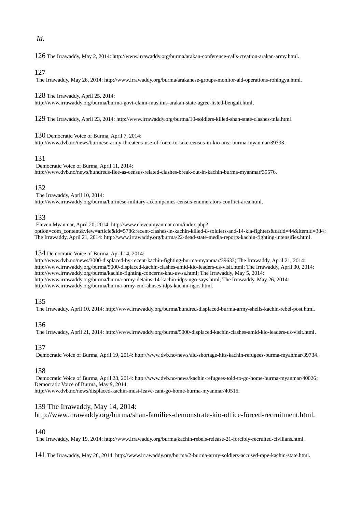## *Id.*

126 The Irrawaddy, May 2, 2014: http://www.irrawaddy.org/burma/arakan-conference-calls-creation-arakan-army.html.

### 127

The Irrawaddy, May 26, 2014: http://www.irrawaddy.org/burma/arakanese-groups-monitor-aid-operations-rohingya.html.

128 The Irrawaddy, April 25, 2014:

http://www.irrawaddy.org/burma/burma-govt-claim-muslims-arakan-state-agree-listed-bengali.html.

129 The Irrawaddy, April 23, 2014: http://www.irrawaddy.org/burma/10-soldiers-killed-shan-state-clashes-tnla.html.

### 130 Democratic Voice of Burma, April 7, 2014:

http://www.dvb.no/news/burmese-army-threatens-use-of-force-to-take-census-in-kio-area-burma-myanmar/39393.

## 131

Democratic Voice of Burma, April 11, 2014: http://www.dvb.no/news/hundreds-flee-as-census-related-clashes-break-out-in-kachin-burma-myanmar/39576.

## 132

The Irrawaddy, April 10, 2014: http://www.irrawaddy.org/burma/burmese-military-accompanies-census-enumerators-conflict-area.html.

## 133

Eleven Myanmar, April 20, 2014: http://www.elevenmyanmar.com/index.php? option=com\_content&view=article&id=5786:recent-clashes-in-kachin-killed-8-soldiers-and-14-kia-fighters&catid=44&Itemid=384; The Irrawaddy, April 21, 2014: http://www.irrawaddy.org/burma/22-dead-state-media-reports-kachin-fighting-intensifies.html.

#### 134 Democratic Voice of Burma, April 14, 2014:

http://www.dvb.no/news/3000-displaced-by-recent-kachin-fighting-burma-myanmar/39633; The Irrawaddy, April 21, 2014: http://www.irrawaddy.org/burma/5000-displaced-kachin-clashes-amid-kio-leaders-us-visit.html; The Irrawaddy, April 30, 2014: http://www.irrawaddy.org/burma/kachin-fighting-concerns-knu-uwsa.html; The Irrawaddy, May 5, 2014: http://www.irrawaddy.org/burma/burma-army-detains-14-kachin-idps-ngo-says.html; The Irrawaddy, May 26, 2014: http://www.irrawaddy.org/burma/burma-army-end-abuses-idps-kachin-ngos.html.

### 135

The Irrawaddy, April 10, 2014: http://www.irrawaddy.org/burma/hundred-displaced-burma-army-shells-kachin-rebel-post.html.

### 136

The Irrawaddy, April 21, 2014: http://www.irrawaddy.org/burma/5000-displaced-kachin-clashes-amid-kio-leaders-us-visit.html.

# 137

Democratic Voice of Burma, April 19, 2014: http://www.dvb.no/news/aid-shortage-hits-kachin-refugees-burma-myanmar/39734.

# 138

Democratic Voice of Burma, April 28, 2014: http://www.dvb.no/news/kachin-refugees-told-to-go-home-burma-myanmar/40026; Democratic Voice of Burma, May 9, 2014:

http://www.dvb.no/news/displaced-kachin-must-leave-cant-go-home-burma-myanmar/40515.

## 139 The Irrawaddy, May 14, 2014:

http://www.irrawaddy.org/burma/shan-families-demonstrate-kio-office-forced-recruitment.html.

## 140

The Irrawaddy, May 19, 2014: http://www.irrawaddy.org/burma/kachin-rebels-release-21-forcibly-recruited-civilians.html.

141 The Irrawaddy, May 28, 2014: http://www.irrawaddy.org/burma/2-burma-army-soldiers-accused-rape-kachin-state.html.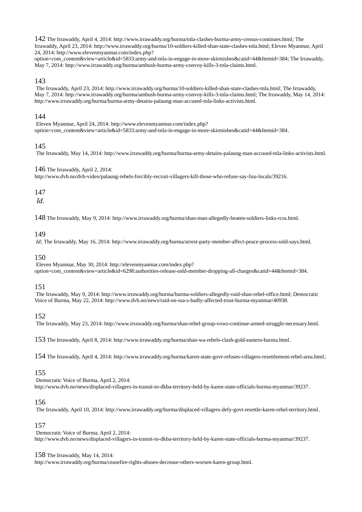142 The Irrawaddy, April 4, 2014: http://www.irrawaddy.org/burma/tnla-clashes-burma-army-census-continues.html; The Irrawaddy, April 23, 2014: http://www.irrawaddy.org/burma/10-soldiers-killed-shan-state-clashes-tnla.html; Eleven Myanmar, April 24, 2014: http://www.elevenmyanmar.com/index.php?

option=com\_content&view=article&id=5833:army-and-tnla-in-engage-in-more-skirmishes&catid=44&Itemid=384; The Irrawaddy, May 7, 2014: http://www.irrawaddy.org/burma/ambush-burma-army-convoy-kills-3-tnla-claims.html.

## 143

The Irrawaddy, April 23, 2014: http://www.irrawaddy.org/burma/10-soldiers-killed-shan-state-clashes-tnla.html; The Irrawaddy, May 7, 2014: http://www.irrawaddy.org/burma/ambush-burma-army-convoy-kills-3-tnla-claims.html; The Irrawaddy, May 14, 2014: http://www.irrawaddy.org/burma/burma-army-detains-palaung-man-accused-tnla-links-activists.html.

## 144

Eleven Myanmar, April 24, 2014: http://www.elevenmyanmar.com/index.php? option=com\_content&view=article&id=5833:army-and-tnla-in-engage-in-more-skirmishes&catid=44&Itemid=384.

## 145

The Irrawaddy, May 14, 2014: http://www.irrawaddy.org/burma/burma-army-detains-palaung-man-accused-tnla-links-activists.html.

#### 146 The Irrawaddy, April 2, 2014:

http://www.dvb.no/dvb-video/palaung-rebels-forcibly-recruit-villagers-kill-those-who-refuse-say-lisu-locals/39216.

### 147

*Id.*

148 The Irrawaddy, May 9, 2014: http://www.irrawaddy.org/burma/shan-man-allegedly-beaten-soldiers-links-rcss.html.

### 149

*Id;* The Irrawaddy, May 16, 2014: http://www.irrawaddy.org/burma/arrest-party-member-affect-peace-process-snld-says.html.

### 150

Eleven Myanmar, May 30, 2014: http://elevenmyanmar.com/index.php? option=com\_content&view=article&id=6298:authorities-release-snld-member-dropping-all-charges&catid=44&Itemid=384.

### 151

The Irrawaddy, May 9, 2014: http://www.irrawaddy.org/burma/burma-soldiers-allegedly-raid-shan-rebel-office.html; Democratic Voice of Burma, May 22, 2014: http://www.dvb.no/news/raid-on-ssa-s-badly-affected-trust-burma-myanmar/40938.

152

The Irrawaddy, May 23, 2014: http://www.irrawaddy.org/burma/shan-rebel-group-vows-continue-armed-struggle-necessary.html.

153 The Irrawaddy, April 8, 2014: http://www.irrawaddy.org/burma/shan-wa-rebels-clash-gold-eastern-burma.html.

154 The Irrawaddy, April 4, 2014: http://www.irrawaddy.org/burma/karen-state-govt-refuses-villagers-resettlement-rebel-area.html;

### 155

Democratic Voice of Burma, April 2, 2014: http://www.dvb.no/news/displaced-villagers-in-transit-to-dkba-territory-held-by-karen-state-officials-burma-myanmar/39237.

### 156

The Irrawaddy, April 10, 2014: http://www.irrawaddy.org/burma/displaced-villagers-defy-govt-resettle-karen-rebel-territory.html.

### 157

Democratic Voice of Burma, April 2, 2014: http://www.dvb.no/news/displaced-villagers-in-transit-to-dkba-territory-held-by-karen-state-officials-burma-myanmar/39237.

### 158 The Irrawaddy, May 14, 2014:

http://www.irrawaddy.org/burma/ceasefire-rights-abuses-decrease-others-worsen-karen-group.html.